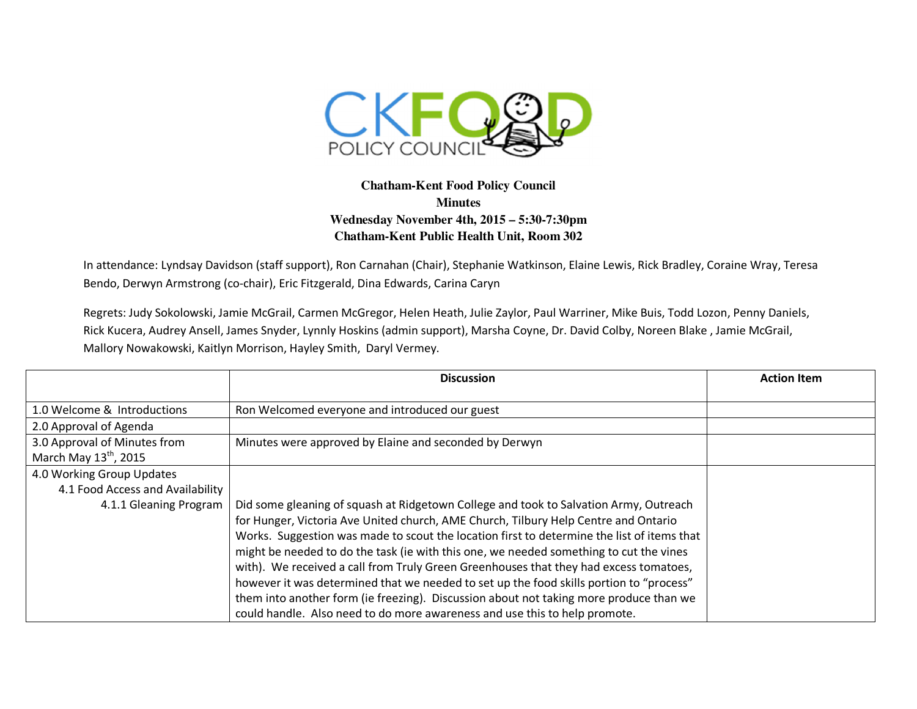

## **Chatham-Kent Food Policy Council Minutes Wednesday November 4th, 2015 – 5:30-7:30pm Chatham-Kent Public Health Unit, Room 302**

In attendance: Lyndsay Davidson (staff support), Ron Carnahan (Chair), Stephanie Watkinson, Elaine Lewis, Rick Bradley, Coraine Wray, Teresa Bendo, Derwyn Armstrong (co-chair), Eric Fitzgerald, Dina Edwards, Carina Caryn

Regrets: Judy Sokolowski, Jamie McGrail, Carmen McGregor, Helen Heath, Julie Zaylor, Paul Warriner, Mike Buis, Todd Lozon, Penny Daniels, Rick Kucera, Audrey Ansell, James Snyder, Lynnly Hoskins (admin support), Marsha Coyne, Dr. David Colby, Noreen Blake , Jamie McGrail, Mallory Nowakowski, Kaitlyn Morrison, Hayley Smith, Daryl Vermey.

|                                   | <b>Discussion</b>                                                                          | <b>Action Item</b> |
|-----------------------------------|--------------------------------------------------------------------------------------------|--------------------|
|                                   |                                                                                            |                    |
| 1.0 Welcome & Introductions       | Ron Welcomed everyone and introduced our guest                                             |                    |
| 2.0 Approval of Agenda            |                                                                                            |                    |
| 3.0 Approval of Minutes from      | Minutes were approved by Elaine and seconded by Derwyn                                     |                    |
| March May 13 <sup>th</sup> , 2015 |                                                                                            |                    |
| 4.0 Working Group Updates         |                                                                                            |                    |
| 4.1 Food Access and Availability  |                                                                                            |                    |
| 4.1.1 Gleaning Program            | Did some gleaning of squash at Ridgetown College and took to Salvation Army, Outreach      |                    |
|                                   | for Hunger, Victoria Ave United church, AME Church, Tilbury Help Centre and Ontario        |                    |
|                                   | Works. Suggestion was made to scout the location first to determine the list of items that |                    |
|                                   | might be needed to do the task (ie with this one, we needed something to cut the vines     |                    |
|                                   | with). We received a call from Truly Green Greenhouses that they had excess tomatoes,      |                    |
|                                   | however it was determined that we needed to set up the food skills portion to "process"    |                    |
|                                   | them into another form (ie freezing). Discussion about not taking more produce than we     |                    |
|                                   | could handle. Also need to do more awareness and use this to help promote.                 |                    |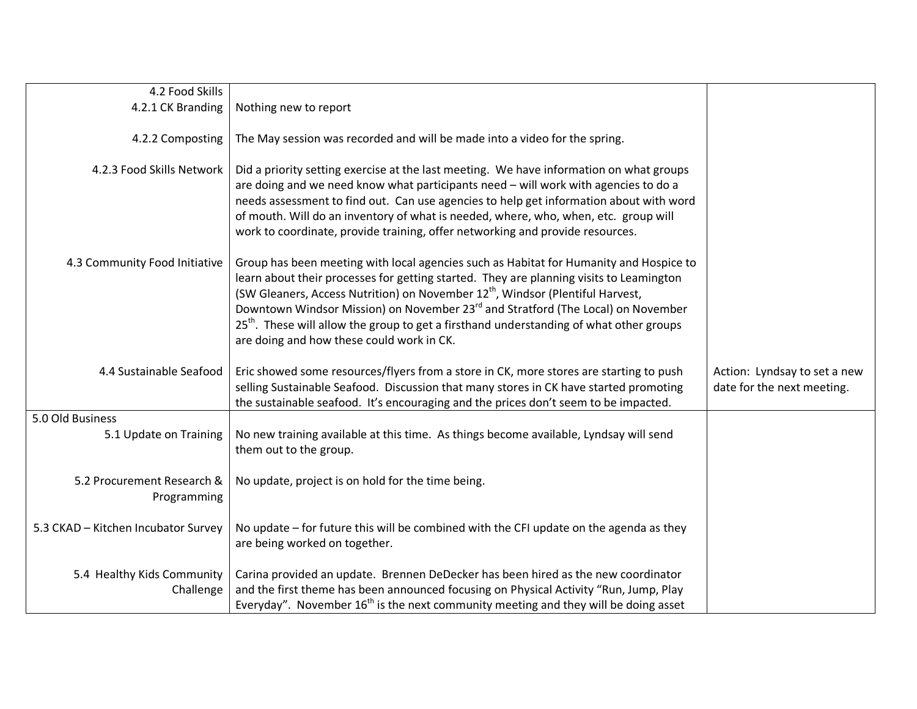| 4.2 Food Skills                           |                                                                                                                                                                                                                                                                                                                                                                                                                                                                                                                                     |                                                            |
|-------------------------------------------|-------------------------------------------------------------------------------------------------------------------------------------------------------------------------------------------------------------------------------------------------------------------------------------------------------------------------------------------------------------------------------------------------------------------------------------------------------------------------------------------------------------------------------------|------------------------------------------------------------|
| 4.2.1 CK Branding                         | Nothing new to report                                                                                                                                                                                                                                                                                                                                                                                                                                                                                                               |                                                            |
| 4.2.2 Composting                          | The May session was recorded and will be made into a video for the spring.                                                                                                                                                                                                                                                                                                                                                                                                                                                          |                                                            |
| 4.2.3 Food Skills Network                 | Did a priority setting exercise at the last meeting. We have information on what groups<br>are doing and we need know what participants need - will work with agencies to do a<br>needs assessment to find out. Can use agencies to help get information about with word<br>of mouth. Will do an inventory of what is needed, where, who, when, etc. group will<br>work to coordinate, provide training, offer networking and provide resources.                                                                                    |                                                            |
| 4.3 Community Food Initiative             | Group has been meeting with local agencies such as Habitat for Humanity and Hospice to<br>learn about their processes for getting started. They are planning visits to Leamington<br>(SW Gleaners, Access Nutrition) on November 12 <sup>th</sup> , Windsor (Plentiful Harvest,<br>Downtown Windsor Mission) on November 23 <sup>rd</sup> and Stratford (The Local) on November<br>25 <sup>th</sup> . These will allow the group to get a firsthand understanding of what other groups<br>are doing and how these could work in CK. |                                                            |
| 4.4 Sustainable Seafood                   | Eric showed some resources/flyers from a store in CK, more stores are starting to push<br>selling Sustainable Seafood. Discussion that many stores in CK have started promoting<br>the sustainable seafood. It's encouraging and the prices don't seem to be impacted.                                                                                                                                                                                                                                                              | Action: Lyndsay to set a new<br>date for the next meeting. |
| 5.0 Old Business                          |                                                                                                                                                                                                                                                                                                                                                                                                                                                                                                                                     |                                                            |
| 5.1 Update on Training                    | No new training available at this time. As things become available, Lyndsay will send<br>them out to the group.                                                                                                                                                                                                                                                                                                                                                                                                                     |                                                            |
| 5.2 Procurement Research &<br>Programming | No update, project is on hold for the time being.                                                                                                                                                                                                                                                                                                                                                                                                                                                                                   |                                                            |
| 5.3 CKAD - Kitchen Incubator Survey       | No update – for future this will be combined with the CFI update on the agenda as they<br>are being worked on together.                                                                                                                                                                                                                                                                                                                                                                                                             |                                                            |
| 5.4 Healthy Kids Community<br>Challenge   | Carina provided an update. Brennen DeDecker has been hired as the new coordinator<br>and the first theme has been announced focusing on Physical Activity "Run, Jump, Play<br>Everyday". November $16th$ is the next community meeting and they will be doing asset                                                                                                                                                                                                                                                                 |                                                            |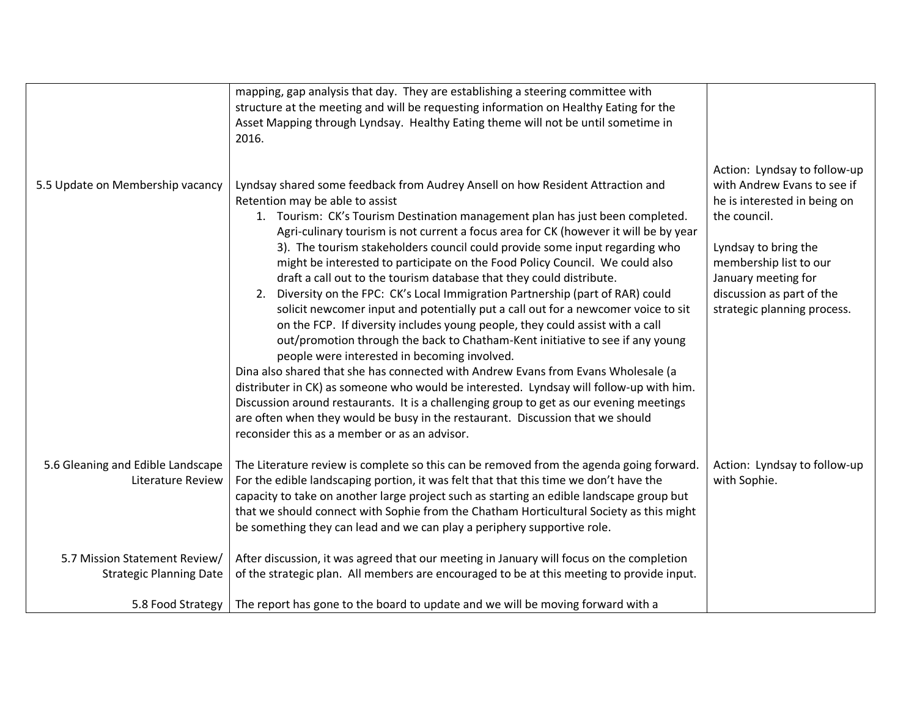|                                                                 | mapping, gap analysis that day. They are establishing a steering committee with<br>structure at the meeting and will be requesting information on Healthy Eating for the<br>Asset Mapping through Lyndsay. Healthy Eating theme will not be until sometime in<br>2016.                                                                                                                                                                                                                                                                                                                                                                                                                                                                                                                                                                                                                                                                                                                                                                                                                                                                                                                                                                                                                                                                    |                                                                                                                                                                                                                                                  |
|-----------------------------------------------------------------|-------------------------------------------------------------------------------------------------------------------------------------------------------------------------------------------------------------------------------------------------------------------------------------------------------------------------------------------------------------------------------------------------------------------------------------------------------------------------------------------------------------------------------------------------------------------------------------------------------------------------------------------------------------------------------------------------------------------------------------------------------------------------------------------------------------------------------------------------------------------------------------------------------------------------------------------------------------------------------------------------------------------------------------------------------------------------------------------------------------------------------------------------------------------------------------------------------------------------------------------------------------------------------------------------------------------------------------------|--------------------------------------------------------------------------------------------------------------------------------------------------------------------------------------------------------------------------------------------------|
| 5.5 Update on Membership vacancy                                | Lyndsay shared some feedback from Audrey Ansell on how Resident Attraction and<br>Retention may be able to assist<br>1. Tourism: CK's Tourism Destination management plan has just been completed.<br>Agri-culinary tourism is not current a focus area for CK (however it will be by year<br>3). The tourism stakeholders council could provide some input regarding who<br>might be interested to participate on the Food Policy Council. We could also<br>draft a call out to the tourism database that they could distribute.<br>2. Diversity on the FPC: CK's Local Immigration Partnership (part of RAR) could<br>solicit newcomer input and potentially put a call out for a newcomer voice to sit<br>on the FCP. If diversity includes young people, they could assist with a call<br>out/promotion through the back to Chatham-Kent initiative to see if any young<br>people were interested in becoming involved.<br>Dina also shared that she has connected with Andrew Evans from Evans Wholesale (a<br>distributer in CK) as someone who would be interested. Lyndsay will follow-up with him.<br>Discussion around restaurants. It is a challenging group to get as our evening meetings<br>are often when they would be busy in the restaurant. Discussion that we should<br>reconsider this as a member or as an advisor. | Action: Lyndsay to follow-up<br>with Andrew Evans to see if<br>he is interested in being on<br>the council.<br>Lyndsay to bring the<br>membership list to our<br>January meeting for<br>discussion as part of the<br>strategic planning process. |
| 5.6 Gleaning and Edible Landscape<br><b>Literature Review</b>   | The Literature review is complete so this can be removed from the agenda going forward.<br>For the edible landscaping portion, it was felt that that this time we don't have the<br>capacity to take on another large project such as starting an edible landscape group but<br>that we should connect with Sophie from the Chatham Horticultural Society as this might<br>be something they can lead and we can play a periphery supportive role.                                                                                                                                                                                                                                                                                                                                                                                                                                                                                                                                                                                                                                                                                                                                                                                                                                                                                        | Action: Lyndsay to follow-up<br>with Sophie.                                                                                                                                                                                                     |
| 5.7 Mission Statement Review/<br><b>Strategic Planning Date</b> | After discussion, it was agreed that our meeting in January will focus on the completion<br>of the strategic plan. All members are encouraged to be at this meeting to provide input.                                                                                                                                                                                                                                                                                                                                                                                                                                                                                                                                                                                                                                                                                                                                                                                                                                                                                                                                                                                                                                                                                                                                                     |                                                                                                                                                                                                                                                  |
|                                                                 | 5.8 Food Strategy   The report has gone to the board to update and we will be moving forward with a                                                                                                                                                                                                                                                                                                                                                                                                                                                                                                                                                                                                                                                                                                                                                                                                                                                                                                                                                                                                                                                                                                                                                                                                                                       |                                                                                                                                                                                                                                                  |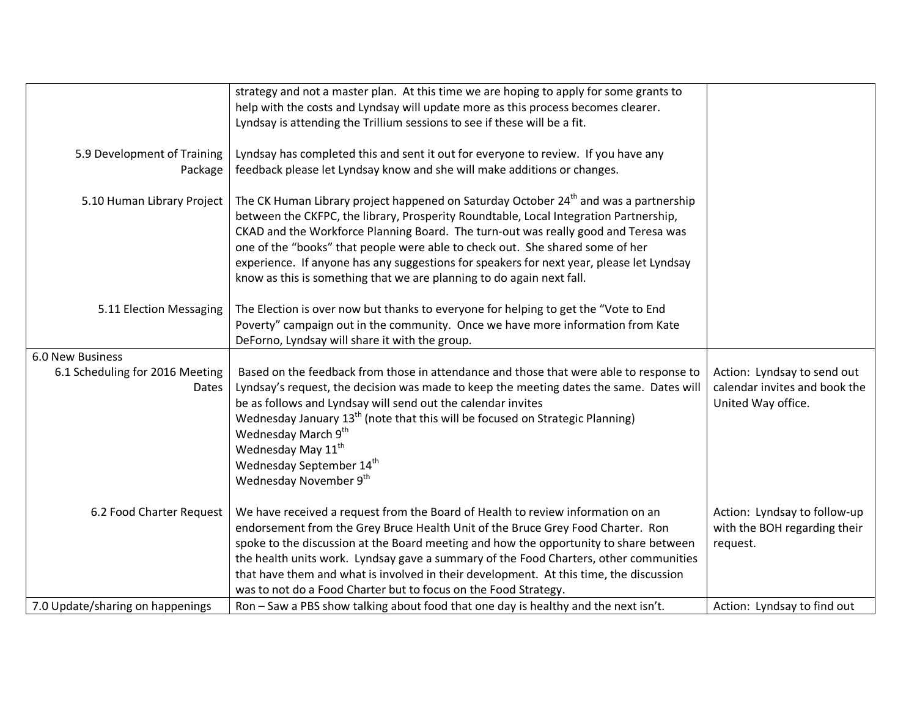|                                  | strategy and not a master plan. At this time we are hoping to apply for some grants to                                                                  |                                                              |
|----------------------------------|---------------------------------------------------------------------------------------------------------------------------------------------------------|--------------------------------------------------------------|
|                                  | help with the costs and Lyndsay will update more as this process becomes clearer.                                                                       |                                                              |
|                                  | Lyndsay is attending the Trillium sessions to see if these will be a fit.                                                                               |                                                              |
|                                  |                                                                                                                                                         |                                                              |
| 5.9 Development of Training      | Lyndsay has completed this and sent it out for everyone to review. If you have any                                                                      |                                                              |
| Package                          | feedback please let Lyndsay know and she will make additions or changes.                                                                                |                                                              |
|                                  | The CK Human Library project happened on Saturday October 24 <sup>th</sup> and was a partnership                                                        |                                                              |
| 5.10 Human Library Project       | between the CKFPC, the library, Prosperity Roundtable, Local Integration Partnership,                                                                   |                                                              |
|                                  | CKAD and the Workforce Planning Board. The turn-out was really good and Teresa was                                                                      |                                                              |
|                                  | one of the "books" that people were able to check out. She shared some of her                                                                           |                                                              |
|                                  | experience. If anyone has any suggestions for speakers for next year, please let Lyndsay                                                                |                                                              |
|                                  | know as this is something that we are planning to do again next fall.                                                                                   |                                                              |
|                                  |                                                                                                                                                         |                                                              |
| 5.11 Election Messaging          | The Election is over now but thanks to everyone for helping to get the "Vote to End                                                                     |                                                              |
|                                  | Poverty" campaign out in the community. Once we have more information from Kate                                                                         |                                                              |
|                                  | DeForno, Lyndsay will share it with the group.                                                                                                          |                                                              |
| <b>6.0 New Business</b>          |                                                                                                                                                         |                                                              |
| 6.1 Scheduling for 2016 Meeting  | Based on the feedback from those in attendance and those that were able to response to                                                                  | Action: Lyndsay to send out<br>calendar invites and book the |
| Dates                            | Lyndsay's request, the decision was made to keep the meeting dates the same. Dates will<br>be as follows and Lyndsay will send out the calendar invites | United Way office.                                           |
|                                  | Wednesday January 13 <sup>th</sup> (note that this will be focused on Strategic Planning)                                                               |                                                              |
|                                  | Wednesday March 9 <sup>th</sup>                                                                                                                         |                                                              |
|                                  | Wednesday May 11 <sup>th</sup>                                                                                                                          |                                                              |
|                                  | Wednesday September 14 <sup>th</sup>                                                                                                                    |                                                              |
|                                  | Wednesday November 9th                                                                                                                                  |                                                              |
|                                  |                                                                                                                                                         |                                                              |
| 6.2 Food Charter Request         | We have received a request from the Board of Health to review information on an                                                                         | Action: Lyndsay to follow-up                                 |
|                                  | endorsement from the Grey Bruce Health Unit of the Bruce Grey Food Charter. Ron                                                                         | with the BOH regarding their                                 |
|                                  | spoke to the discussion at the Board meeting and how the opportunity to share between                                                                   | request.                                                     |
|                                  | the health units work. Lyndsay gave a summary of the Food Charters, other communities                                                                   |                                                              |
|                                  | that have them and what is involved in their development. At this time, the discussion                                                                  |                                                              |
|                                  | was to not do a Food Charter but to focus on the Food Strategy.                                                                                         |                                                              |
| 7.0 Update/sharing on happenings | Ron - Saw a PBS show talking about food that one day is healthy and the next isn't.                                                                     | Action: Lyndsay to find out                                  |